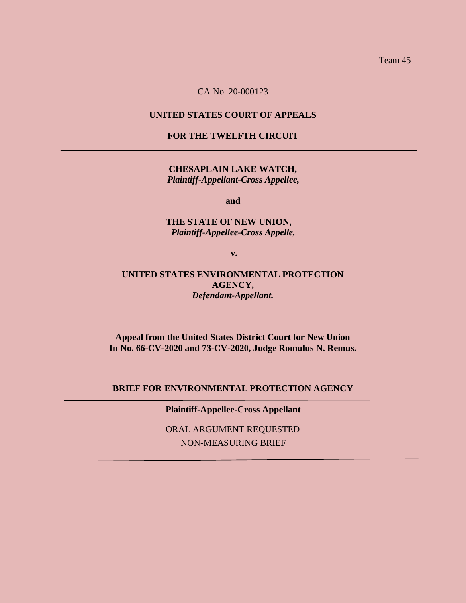Team 45

CA No. 20-000123

## **UNITED STATES COURT OF APPEALS**

**FOR THE TWELFTH CIRCUIT**

**CHESAPLAIN LAKE WATCH,** *Plaintiff-Appellant-Cross Appellee,*

**and**

### **THE STATE OF NEW UNION,** *Plaintiff-Appellee-Cross Appelle,*

**v.**

**UNITED STATES ENVIRONMENTAL PROTECTION AGENCY,** *Defendant-Appellant.*

**Appeal from the United States District Court for New Union In No. 66-CV-2020 and 73-CV-2020, Judge Romulus N. Remus.**

**BRIEF FOR ENVIRONMENTAL PROTECTION AGENCY**

**Plaintiff-Appellee-Cross Appellant**

ORAL ARGUMENT REQUESTED NON-MEASURING BRIEF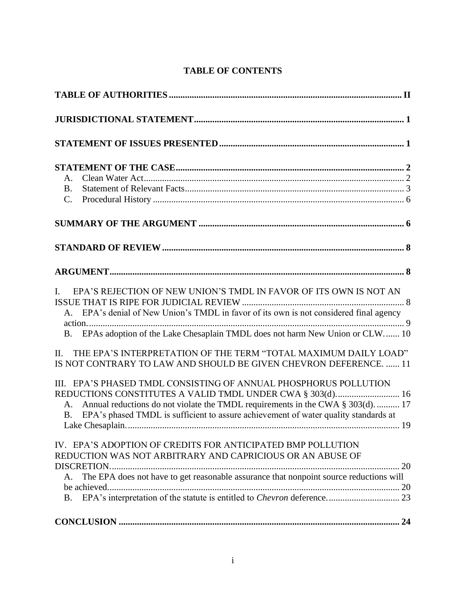# **TABLE OF CONTENTS**

| A.<br><b>B.</b><br>$C_{\cdot}$                                                                                                                                                                                                                                                                                              |
|-----------------------------------------------------------------------------------------------------------------------------------------------------------------------------------------------------------------------------------------------------------------------------------------------------------------------------|
|                                                                                                                                                                                                                                                                                                                             |
|                                                                                                                                                                                                                                                                                                                             |
|                                                                                                                                                                                                                                                                                                                             |
| EPA'S REJECTION OF NEW UNION'S TMDL IN FAVOR OF ITS OWN IS NOT AN<br>$\mathbf{I}$ .<br>A. EPA's denial of New Union's TMDL in favor of its own is not considered final agency<br>B. EPAs adoption of the Lake Chesaplain TMDL does not harm New Union or CLW 10                                                             |
| THE EPA'S INTERPRETATION OF THE TERM "TOTAL MAXIMUM DAILY LOAD"<br>II.<br>IS NOT CONTRARY TO LAW AND SHOULD BE GIVEN CHEVRON DEFERENCE.  11                                                                                                                                                                                 |
| III. EPA'S PHASED TMDL CONSISTING OF ANNUAL PHOSPHORUS POLLUTION<br>REDUCTIONS CONSTITUTES A VALID TMDL UNDER CWA § 303(d) 16<br>Annual reductions do not violate the TMDL requirements in the CWA § 303(d).  17<br>A.<br>EPA's phased TMDL is sufficient to assure achievement of water quality standards at<br><b>B</b> . |
| IV. EPA'S ADOPTION OF CREDITS FOR ANTICIPATED BMP POLLUTION<br>REDUCTION WAS NOT ARBITRARY AND CAPRICIOUS OR AN ABUSE OF<br>The EPA does not have to get reasonable assurance that nonpoint source reductions will<br>A.                                                                                                    |
|                                                                                                                                                                                                                                                                                                                             |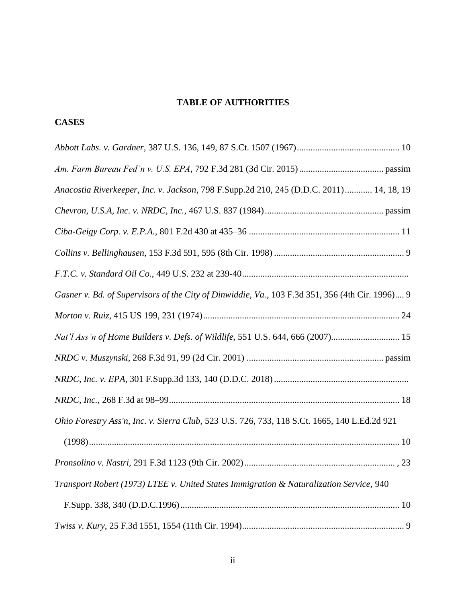# **TABLE OF AUTHORITIES**

# **CASES**

| Anacostia Riverkeeper, Inc. v. Jackson, 798 F.Supp.2d 210, 245 (D.D.C. 2011) 14, 18, 19         |
|-------------------------------------------------------------------------------------------------|
|                                                                                                 |
|                                                                                                 |
|                                                                                                 |
|                                                                                                 |
| Gasner v. Bd. of Supervisors of the City of Dinwiddie, Va., 103 F.3d 351, 356 (4th Cir. 1996) 9 |
|                                                                                                 |
| Nat'l Ass'n of Home Builders v. Defs. of Wildlife, 551 U.S. 644, 666 (2007) 15                  |
|                                                                                                 |
|                                                                                                 |
|                                                                                                 |
| Ohio Forestry Ass'n, Inc. v. Sierra Club, 523 U.S. 726, 733, 118 S.Ct. 1665, 140 L.Ed.2d 921    |
|                                                                                                 |
|                                                                                                 |
| Transport Robert (1973) LTEE v. United States Immigration & Naturalization Service, 940         |
|                                                                                                 |
|                                                                                                 |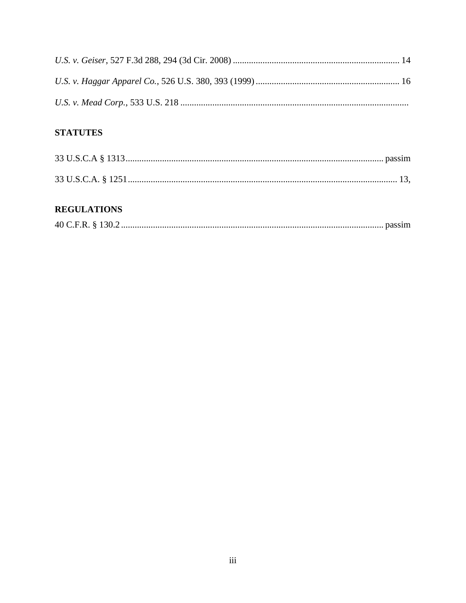# **STATUTES**

# **REGULATIONS**

|--|--|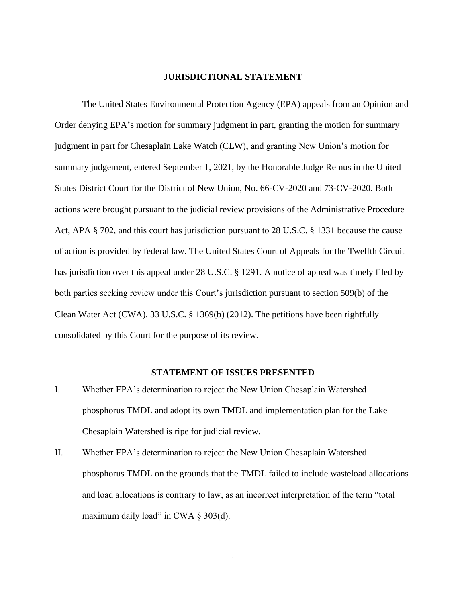#### **JURISDICTIONAL STATEMENT**

The United States Environmental Protection Agency (EPA) appeals from an Opinion and Order denying EPA's motion for summary judgment in part, granting the motion for summary judgment in part for Chesaplain Lake Watch (CLW), and granting New Union's motion for summary judgement, entered September 1, 2021, by the Honorable Judge Remus in the United States District Court for the District of New Union, No. 66-CV-2020 and 73-CV-2020. Both actions were brought pursuant to the judicial review provisions of the Administrative Procedure Act, APA § 702, and this court has jurisdiction pursuant to 28 U.S.C. § 1331 because the cause of action is provided by federal law. The United States Court of Appeals for the Twelfth Circuit has jurisdiction over this appeal under 28 U.S.C. § 1291. A notice of appeal was timely filed by both parties seeking review under this Court's jurisdiction pursuant to section 509(b) of the Clean Water Act (CWA). 33 U.S.C. § 1369(b) (2012). The petitions have been rightfully consolidated by this Court for the purpose of its review.

### **STATEMENT OF ISSUES PRESENTED**

- I. Whether EPA's determination to reject the New Union Chesaplain Watershed phosphorus TMDL and adopt its own TMDL and implementation plan for the Lake Chesaplain Watershed is ripe for judicial review.
- II. Whether EPA's determination to reject the New Union Chesaplain Watershed phosphorus TMDL on the grounds that the TMDL failed to include wasteload allocations and load allocations is contrary to law, as an incorrect interpretation of the term "total maximum daily load" in CWA  $\S$  303(d).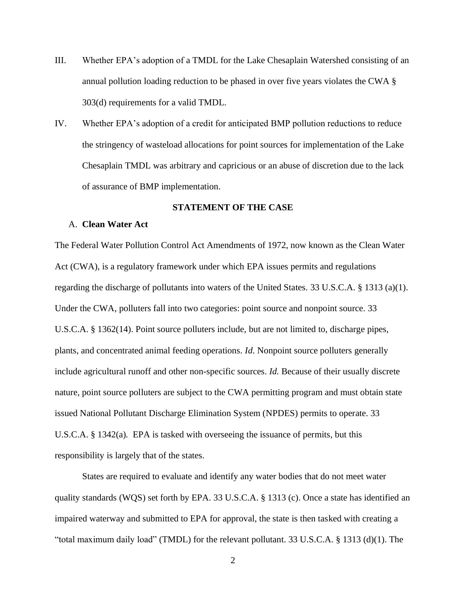- III. Whether EPA's adoption of a TMDL for the Lake Chesaplain Watershed consisting of an annual pollution loading reduction to be phased in over five years violates the CWA § 303(d) requirements for a valid TMDL.
- IV. Whether EPA's adoption of a credit for anticipated BMP pollution reductions to reduce the stringency of wasteload allocations for point sources for implementation of the Lake Chesaplain TMDL was arbitrary and capricious or an abuse of discretion due to the lack of assurance of BMP implementation.

#### **STATEMENT OF THE CASE**

### A. **Clean Water Act**

The Federal Water Pollution Control Act Amendments of 1972, now known as the Clean Water Act (CWA), is a regulatory framework under which EPA issues permits and regulations regarding the discharge of pollutants into waters of the United States. 33 U.S.C.A. § 1313 (a)(1). Under the CWA, polluters fall into two categories: point source and nonpoint source. 33 U.S.C.A. § 1362(14). Point source polluters include, but are not limited to, discharge pipes, plants, and concentrated animal feeding operations. *Id.* Nonpoint source polluters generally include agricultural runoff and other non-specific sources. *Id.* Because of their usually discrete nature, point source polluters are subject to the CWA permitting program and must obtain state issued National Pollutant Discharge Elimination System (NPDES) permits to operate. 33 U.S.C.A. § 1342(a)*.* EPA is tasked with overseeing the issuance of permits, but this responsibility is largely that of the states.

States are required to evaluate and identify any water bodies that do not meet water quality standards (WQS) set forth by EPA. 33 U.S.C.A. § 1313 (c). Once a state has identified an impaired waterway and submitted to EPA for approval, the state is then tasked with creating a "total maximum daily load" (TMDL) for the relevant pollutant. 33 U.S.C.A. § 1313 (d)(1). The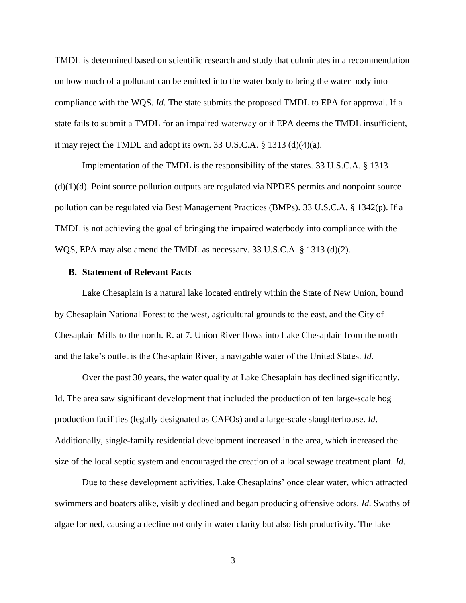TMDL is determined based on scientific research and study that culminates in a recommendation on how much of a pollutant can be emitted into the water body to bring the water body into compliance with the WQS. *Id.* The state submits the proposed TMDL to EPA for approval. If a state fails to submit a TMDL for an impaired waterway or if EPA deems the TMDL insufficient, it may reject the TMDL and adopt its own. 33 U.S.C.A. § 1313 (d)(4)(a).

Implementation of the TMDL is the responsibility of the states. 33 U.S.C.A. § 1313  $(d)(1)(d)$ . Point source pollution outputs are regulated via NPDES permits and nonpoint source pollution can be regulated via Best Management Practices (BMPs). 33 U.S.C.A. § 1342(p). If a TMDL is not achieving the goal of bringing the impaired waterbody into compliance with the WQS, EPA may also amend the TMDL as necessary. 33 U.S.C.A. § 1313 (d)(2).

### **B. Statement of Relevant Facts**

Lake Chesaplain is a natural lake located entirely within the State of New Union, bound by Chesaplain National Forest to the west, agricultural grounds to the east, and the City of Chesaplain Mills to the north. R. at 7. Union River flows into Lake Chesaplain from the north and the lake's outlet is the Chesaplain River, a navigable water of the United States. *Id*.

Over the past 30 years, the water quality at Lake Chesaplain has declined significantly. Id. The area saw significant development that included the production of ten large-scale hog production facilities (legally designated as CAFOs) and a large-scale slaughterhouse. *Id*. Additionally, single-family residential development increased in the area, which increased the size of the local septic system and encouraged the creation of a local sewage treatment plant. *Id*.

Due to these development activities, Lake Chesaplains' once clear water, which attracted swimmers and boaters alike, visibly declined and began producing offensive odors. *Id*. Swaths of algae formed, causing a decline not only in water clarity but also fish productivity. The lake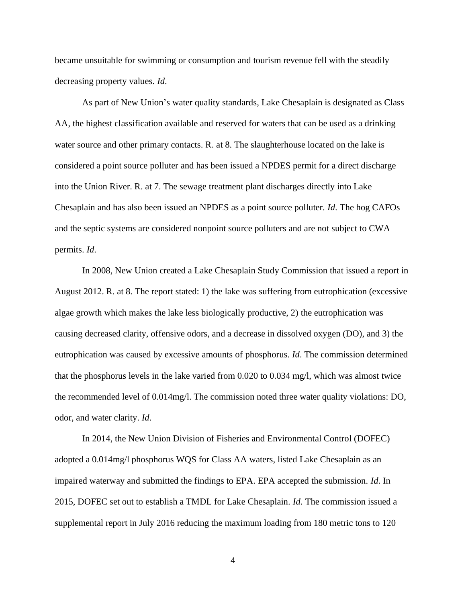became unsuitable for swimming or consumption and tourism revenue fell with the steadily decreasing property values. *Id*.

As part of New Union's water quality standards, Lake Chesaplain is designated as Class AA, the highest classification available and reserved for waters that can be used as a drinking water source and other primary contacts. R. at 8. The slaughterhouse located on the lake is considered a point source polluter and has been issued a NPDES permit for a direct discharge into the Union River. R. at 7. The sewage treatment plant discharges directly into Lake Chesaplain and has also been issued an NPDES as a point source polluter. *Id*. The hog CAFOs and the septic systems are considered nonpoint source polluters and are not subject to CWA permits. *Id*.

In 2008, New Union created a Lake Chesaplain Study Commission that issued a report in August 2012. R. at 8. The report stated: 1) the lake was suffering from eutrophication (excessive algae growth which makes the lake less biologically productive, 2) the eutrophication was causing decreased clarity, offensive odors, and a decrease in dissolved oxygen (DO), and 3) the eutrophication was caused by excessive amounts of phosphorus. *Id*. The commission determined that the phosphorus levels in the lake varied from 0.020 to 0.034 mg/l, which was almost twice the recommended level of 0.014mg/l. The commission noted three water quality violations: DO, odor, and water clarity. *Id*.

In 2014, the New Union Division of Fisheries and Environmental Control (DOFEC) adopted a 0.014mg/l phosphorus WQS for Class AA waters, listed Lake Chesaplain as an impaired waterway and submitted the findings to EPA. EPA accepted the submission. *Id*. In 2015, DOFEC set out to establish a TMDL for Lake Chesaplain. *Id*. The commission issued a supplemental report in July 2016 reducing the maximum loading from 180 metric tons to 120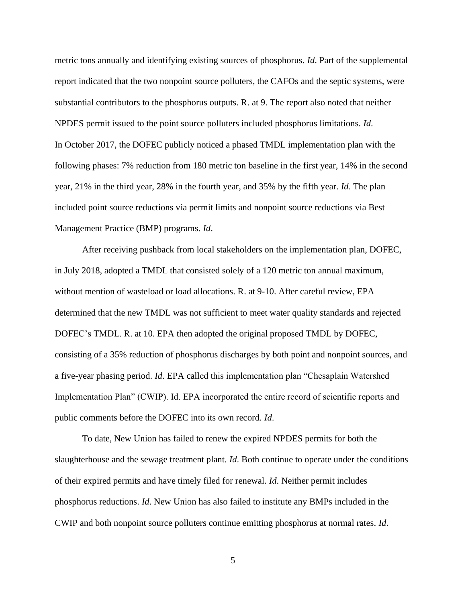metric tons annually and identifying existing sources of phosphorus. *Id*. Part of the supplemental report indicated that the two nonpoint source polluters, the CAFOs and the septic systems, were substantial contributors to the phosphorus outputs. R. at 9. The report also noted that neither NPDES permit issued to the point source polluters included phosphorus limitations. *Id*. In October 2017, the DOFEC publicly noticed a phased TMDL implementation plan with the following phases: 7% reduction from 180 metric ton baseline in the first year, 14% in the second year, 21% in the third year, 28% in the fourth year, and 35% by the fifth year. *Id*. The plan included point source reductions via permit limits and nonpoint source reductions via Best Management Practice (BMP) programs. *Id*.

After receiving pushback from local stakeholders on the implementation plan, DOFEC, in July 2018, adopted a TMDL that consisted solely of a 120 metric ton annual maximum, without mention of wasteload or load allocations. R. at 9-10. After careful review, EPA determined that the new TMDL was not sufficient to meet water quality standards and rejected DOFEC's TMDL. R. at 10. EPA then adopted the original proposed TMDL by DOFEC, consisting of a 35% reduction of phosphorus discharges by both point and nonpoint sources, and a five-year phasing period. *Id*. EPA called this implementation plan "Chesaplain Watershed Implementation Plan" (CWIP). Id. EPA incorporated the entire record of scientific reports and public comments before the DOFEC into its own record. *Id*.

To date, New Union has failed to renew the expired NPDES permits for both the slaughterhouse and the sewage treatment plant. *Id*. Both continue to operate under the conditions of their expired permits and have timely filed for renewal. *Id*. Neither permit includes phosphorus reductions. *Id*. New Union has also failed to institute any BMPs included in the CWIP and both nonpoint source polluters continue emitting phosphorus at normal rates. *Id*.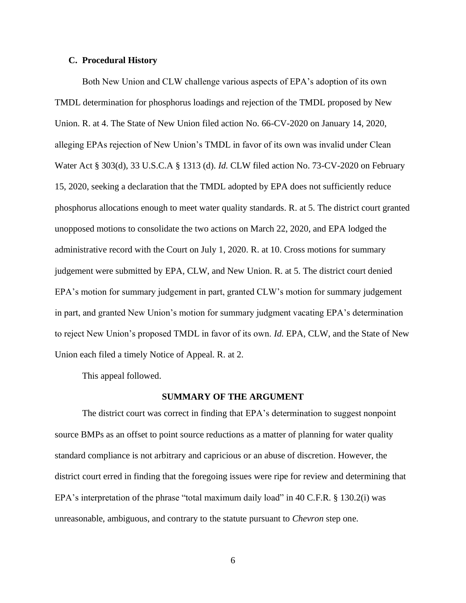#### **C. Procedural History**

Both New Union and CLW challenge various aspects of EPA's adoption of its own TMDL determination for phosphorus loadings and rejection of the TMDL proposed by New Union. R. at 4. The State of New Union filed action No. 66-CV-2020 on January 14, 2020, alleging EPAs rejection of New Union's TMDL in favor of its own was invalid under Clean Water Act § 303(d), 33 U.S.C.A § 1313 (d). *Id.* CLW filed action No. 73-CV-2020 on February 15, 2020, seeking a declaration that the TMDL adopted by EPA does not sufficiently reduce phosphorus allocations enough to meet water quality standards. R. at 5. The district court granted unopposed motions to consolidate the two actions on March 22, 2020, and EPA lodged the administrative record with the Court on July 1, 2020. R. at 10. Cross motions for summary judgement were submitted by EPA, CLW, and New Union. R. at 5. The district court denied EPA's motion for summary judgement in part, granted CLW's motion for summary judgement in part, and granted New Union's motion for summary judgment vacating EPA's determination to reject New Union's proposed TMDL in favor of its own. *Id.* EPA, CLW, and the State of New Union each filed a timely Notice of Appeal. R. at 2.

This appeal followed.

#### **SUMMARY OF THE ARGUMENT**

The district court was correct in finding that EPA's determination to suggest nonpoint source BMPs as an offset to point source reductions as a matter of planning for water quality standard compliance is not arbitrary and capricious or an abuse of discretion. However, the district court erred in finding that the foregoing issues were ripe for review and determining that EPA's interpretation of the phrase "total maximum daily load" in 40 C.F.R. § 130.2(i) was unreasonable, ambiguous, and contrary to the statute pursuant to *Chevron* step one.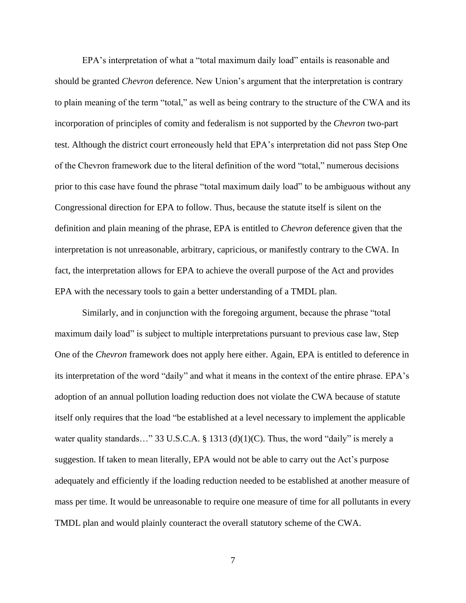EPA's interpretation of what a "total maximum daily load" entails is reasonable and should be granted *Chevron* deference. New Union's argument that the interpretation is contrary to plain meaning of the term "total," as well as being contrary to the structure of the CWA and its incorporation of principles of comity and federalism is not supported by the *Chevron* two-part test. Although the district court erroneously held that EPA's interpretation did not pass Step One of the Chevron framework due to the literal definition of the word "total," numerous decisions prior to this case have found the phrase "total maximum daily load" to be ambiguous without any Congressional direction for EPA to follow. Thus, because the statute itself is silent on the definition and plain meaning of the phrase, EPA is entitled to *Chevron* deference given that the interpretation is not unreasonable, arbitrary, capricious, or manifestly contrary to the CWA. In fact, the interpretation allows for EPA to achieve the overall purpose of the Act and provides EPA with the necessary tools to gain a better understanding of a TMDL plan.

Similarly, and in conjunction with the foregoing argument, because the phrase "total maximum daily load" is subject to multiple interpretations pursuant to previous case law, Step One of the *Chevron* framework does not apply here either. Again, EPA is entitled to deference in its interpretation of the word "daily" and what it means in the context of the entire phrase. EPA's adoption of an annual pollution loading reduction does not violate the CWA because of statute itself only requires that the load "be established at a level necessary to implement the applicable water quality standards…" 33 U.S.C.A. § 1313 (d)(1)(C). Thus, the word "daily" is merely a suggestion. If taken to mean literally, EPA would not be able to carry out the Act's purpose adequately and efficiently if the loading reduction needed to be established at another measure of mass per time. It would be unreasonable to require one measure of time for all pollutants in every TMDL plan and would plainly counteract the overall statutory scheme of the CWA.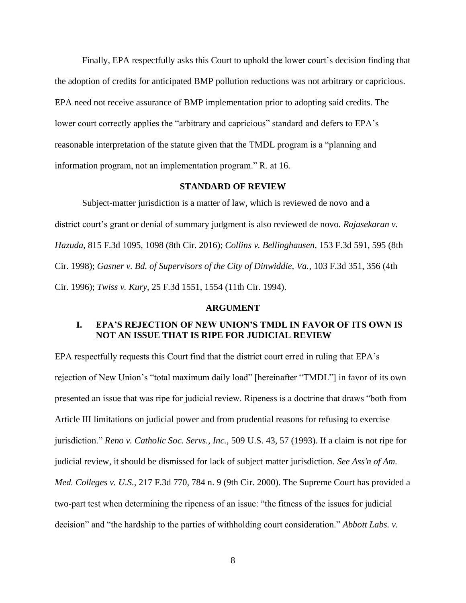Finally, EPA respectfully asks this Court to uphold the lower court's decision finding that the adoption of credits for anticipated BMP pollution reductions was not arbitrary or capricious. EPA need not receive assurance of BMP implementation prior to adopting said credits. The lower court correctly applies the "arbitrary and capricious" standard and defers to EPA's reasonable interpretation of the statute given that the TMDL program is a "planning and information program, not an implementation program." R. at 16.

### **STANDARD OF REVIEW**

Subject-matter jurisdiction is a matter of law, which is reviewed de novo and a district court's grant or denial of summary judgment is also reviewed de novo. *Rajasekaran v. Hazuda*, 815 F.3d 1095, 1098 (8th Cir. 2016); *Collins v. Bellinghausen*, 153 F.3d 591, 595 (8th Cir. 1998); *Gasner v. Bd. of Supervisors of the City of Dinwiddie, Va.*, 103 F.3d 351, 356 (4th Cir. 1996); *Twiss v. Kury*, 25 F.3d 1551, 1554 (11th Cir. 1994).

#### **ARGUMENT**

## **I. EPA'S REJECTION OF NEW UNION'S TMDL IN FAVOR OF ITS OWN IS NOT AN ISSUE THAT IS RIPE FOR JUDICIAL REVIEW**

EPA respectfully requests this Court find that the district court erred in ruling that EPA's rejection of New Union's "total maximum daily load" [hereinafter "TMDL"] in favor of its own presented an issue that was ripe for judicial review. Ripeness is a doctrine that draws "both from Article III limitations on judicial power and from prudential reasons for refusing to exercise jurisdiction." *Reno v. Catholic Soc. Servs., Inc.,* 509 U.S. 43, 57 (1993). If a claim is not ripe for judicial review, it should be dismissed for lack of subject matter jurisdiction. *See Ass'n of Am. Med. Colleges v. U.S.,* 217 F.3d 770, 784 n. 9 (9th Cir. 2000). The Supreme Court has provided a two-part test when determining the ripeness of an issue: "the fitness of the issues for judicial decision" and "the hardship to the parties of withholding court consideration." *Abbott Labs. v.*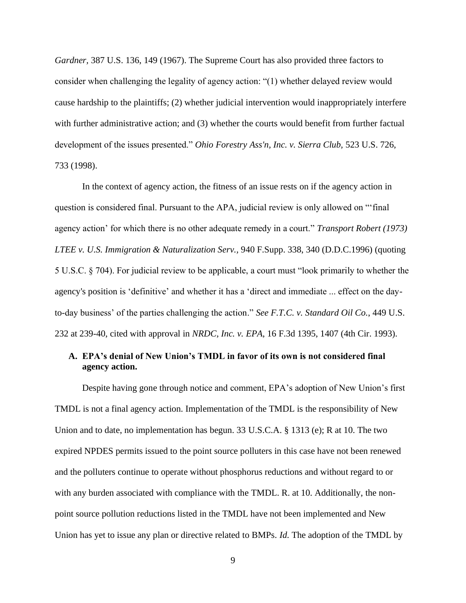*Gardner,* 387 U.S. 136, 149 (1967). The Supreme Court has also provided three factors to consider when challenging the legality of agency action: "(1) whether delayed review would cause hardship to the plaintiffs; (2) whether judicial intervention would inappropriately interfere with further administrative action; and (3) whether the courts would benefit from further factual development of the issues presented." *Ohio Forestry Ass'n, Inc. v. Sierra Club,* 523 U.S. 726, 733 (1998).

In the context of agency action, the fitness of an issue rests on if the agency action in question is considered final. Pursuant to the APA, judicial review is only allowed on "'final agency action' for which there is no other adequate remedy in a court." *Transport Robert (1973) LTEE v. U.S. Immigration & Naturalization Serv.,* 940 F.Supp. 338, 340 (D.D.C.1996) (quoting 5 U.S.C. § 704). For judicial review to be applicable, a court must "look primarily to whether the agency's position is 'definitive' and whether it has a 'direct and immediate ... effect on the dayto-day business' of the parties challenging the action." *See F.T.C. v. Standard Oil Co.*, 449 U.S. 232 at 239-40, cited with approval in *NRDC, Inc. v. EPA*, 16 F.3d 1395, 1407 (4th Cir. 1993).

## **A. EPA's denial of New Union's TMDL in favor of its own is not considered final agency action.**

Despite having gone through notice and comment, EPA's adoption of New Union's first TMDL is not a final agency action. Implementation of the TMDL is the responsibility of New Union and to date, no implementation has begun. 33 U.S.C.A. § 1313 (e); R at 10. The two expired NPDES permits issued to the point source polluters in this case have not been renewed and the polluters continue to operate without phosphorus reductions and without regard to or with any burden associated with compliance with the TMDL. R. at 10. Additionally, the nonpoint source pollution reductions listed in the TMDL have not been implemented and New Union has yet to issue any plan or directive related to BMPs. *Id.* The adoption of the TMDL by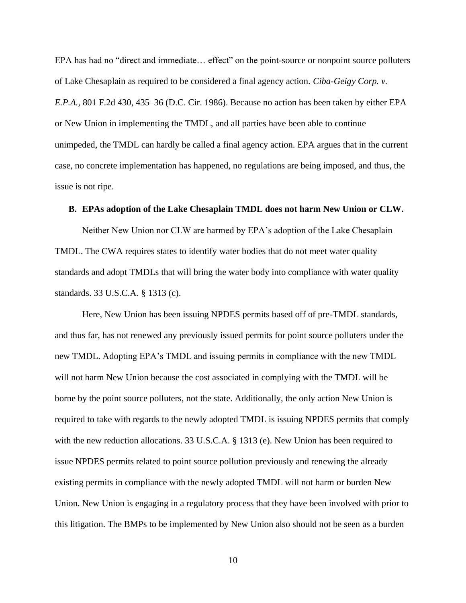EPA has had no "direct and immediate… effect" on the point-source or nonpoint source polluters of Lake Chesaplain as required to be considered a final agency action. *Ciba-Geigy Corp. v. E.P.A.,* 801 F.2d 430, 435–36 (D.C. Cir. 1986). Because no action has been taken by either EPA or New Union in implementing the TMDL, and all parties have been able to continue unimpeded, the TMDL can hardly be called a final agency action. EPA argues that in the current case, no concrete implementation has happened, no regulations are being imposed, and thus, the issue is not ripe.

### **B. EPAs adoption of the Lake Chesaplain TMDL does not harm New Union or CLW.**

Neither New Union nor CLW are harmed by EPA's adoption of the Lake Chesaplain TMDL. The CWA requires states to identify water bodies that do not meet water quality standards and adopt TMDLs that will bring the water body into compliance with water quality standards. 33 U.S.C.A. § 1313 (c).

Here, New Union has been issuing NPDES permits based off of pre-TMDL standards, and thus far, has not renewed any previously issued permits for point source polluters under the new TMDL. Adopting EPA's TMDL and issuing permits in compliance with the new TMDL will not harm New Union because the cost associated in complying with the TMDL will be borne by the point source polluters, not the state. Additionally, the only action New Union is required to take with regards to the newly adopted TMDL is issuing NPDES permits that comply with the new reduction allocations. 33 U.S.C.A. § 1313 (e). New Union has been required to issue NPDES permits related to point source pollution previously and renewing the already existing permits in compliance with the newly adopted TMDL will not harm or burden New Union. New Union is engaging in a regulatory process that they have been involved with prior to this litigation. The BMPs to be implemented by New Union also should not be seen as a burden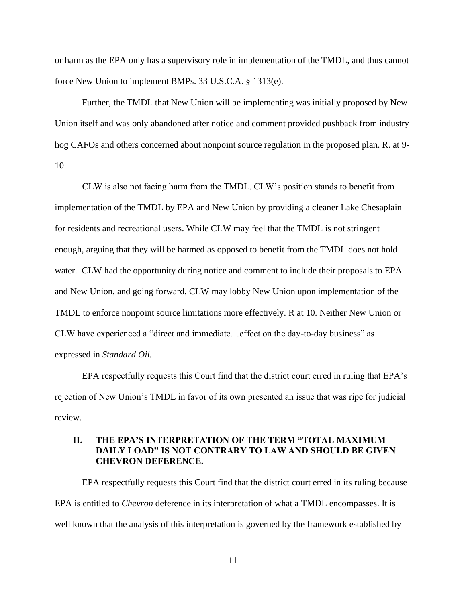or harm as the EPA only has a supervisory role in implementation of the TMDL, and thus cannot force New Union to implement BMPs. 33 U.S.C.A. § 1313(e).

Further, the TMDL that New Union will be implementing was initially proposed by New Union itself and was only abandoned after notice and comment provided pushback from industry hog CAFOs and others concerned about nonpoint source regulation in the proposed plan. R. at 9- 10.

CLW is also not facing harm from the TMDL. CLW's position stands to benefit from implementation of the TMDL by EPA and New Union by providing a cleaner Lake Chesaplain for residents and recreational users. While CLW may feel that the TMDL is not stringent enough, arguing that they will be harmed as opposed to benefit from the TMDL does not hold water. CLW had the opportunity during notice and comment to include their proposals to EPA and New Union, and going forward, CLW may lobby New Union upon implementation of the TMDL to enforce nonpoint source limitations more effectively. R at 10. Neither New Union or CLW have experienced a "direct and immediate…effect on the day-to-day business" as expressed in *Standard Oil.*

EPA respectfully requests this Court find that the district court erred in ruling that EPA's rejection of New Union's TMDL in favor of its own presented an issue that was ripe for judicial review.

## **II. THE EPA'S INTERPRETATION OF THE TERM "TOTAL MAXIMUM DAILY LOAD" IS NOT CONTRARY TO LAW AND SHOULD BE GIVEN CHEVRON DEFERENCE.**

EPA respectfully requests this Court find that the district court erred in its ruling because EPA is entitled to *Chevron* deference in its interpretation of what a TMDL encompasses. It is well known that the analysis of this interpretation is governed by the framework established by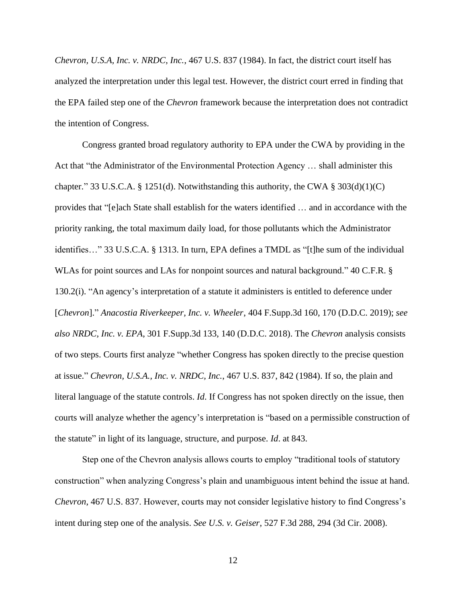*Chevron, U.S.A, Inc. v. NRDC, Inc.*, 467 U.S. 837 (1984). In fact, the district court itself has analyzed the interpretation under this legal test. However, the district court erred in finding that the EPA failed step one of the *Chevron* framework because the interpretation does not contradict the intention of Congress.

Congress granted broad regulatory authority to EPA under the CWA by providing in the Act that "the Administrator of the Environmental Protection Agency … shall administer this chapter." 33 U.S.C.A. § 1251(d). Notwithstanding this authority, the CWA § 303(d)(1)(C) provides that "[e]ach State shall establish for the waters identified … and in accordance with the priority ranking, the total maximum daily load, for those pollutants which the Administrator identifies…" 33 U.S.C.A. § 1313. In turn, EPA defines a TMDL as "[t]he sum of the individual WLAs for point sources and LAs for nonpoint sources and natural background." 40 C.F.R. § 130.2(i). "An agency's interpretation of a statute it administers is entitled to deference under [*Chevron*]." *Anacostia Riverkeeper, Inc. v. Wheeler*, 404 F.Supp.3d 160, 170 (D.D.C. 2019); *see also NRDC, Inc. v. EPA*, 301 F.Supp.3d 133, 140 (D.D.C. 2018). The *Chevron* analysis consists of two steps. Courts first analyze "whether Congress has spoken directly to the precise question at issue." *Chevron, U.S.A., Inc. v. NRDC, Inc.*, 467 U.S. 837, 842 (1984). If so, the plain and literal language of the statute controls. *Id*. If Congress has not spoken directly on the issue, then courts will analyze whether the agency's interpretation is "based on a permissible construction of the statute" in light of its language, structure, and purpose. *Id*. at 843.

Step one of the Chevron analysis allows courts to employ "traditional tools of statutory construction" when analyzing Congress's plain and unambiguous intent behind the issue at hand. *Chevron*, 467 U.S. 837. However, courts may not consider legislative history to find Congress's intent during step one of the analysis. *See U.S. v. Geiser*, 527 F.3d 288, 294 (3d Cir. 2008).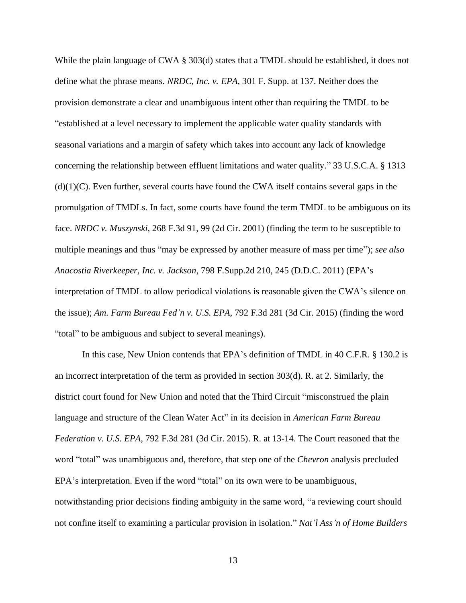While the plain language of CWA § 303(d) states that a TMDL should be established, it does not define what the phrase means. *NRDC, Inc. v. EPA*, 301 F. Supp. at 137. Neither does the provision demonstrate a clear and unambiguous intent other than requiring the TMDL to be "established at a level necessary to implement the applicable water quality standards with seasonal variations and a margin of safety which takes into account any lack of knowledge concerning the relationship between effluent limitations and water quality." 33 U.S.C.A. § 1313  $(d)(1)(C)$ . Even further, several courts have found the CWA itself contains several gaps in the promulgation of TMDLs. In fact, some courts have found the term TMDL to be ambiguous on its face. *NRDC v. Muszynski*, 268 F.3d 91, 99 (2d Cir. 2001) (finding the term to be susceptible to multiple meanings and thus "may be expressed by another measure of mass per time"); *see also Anacostia Riverkeeper, Inc. v. Jackson*, 798 F.Supp.2d 210, 245 (D.D.C. 2011) (EPA's interpretation of TMDL to allow periodical violations is reasonable given the CWA's silence on the issue); *Am. Farm Bureau Fed'n v. U.S. EPA*, 792 F.3d 281 (3d Cir. 2015) (finding the word "total" to be ambiguous and subject to several meanings).

In this case, New Union contends that EPA's definition of TMDL in 40 C.F.R. § 130.2 is an incorrect interpretation of the term as provided in section 303(d). R. at 2. Similarly, the district court found for New Union and noted that the Third Circuit "misconstrued the plain language and structure of the Clean Water Act" in its decision in *American Farm Bureau Federation v. U.S. EPA,* 792 F.3d 281 (3d Cir. 2015). R. at 13-14. The Court reasoned that the word "total" was unambiguous and, therefore, that step one of the *Chevron* analysis precluded EPA's interpretation. Even if the word "total" on its own were to be unambiguous, notwithstanding prior decisions finding ambiguity in the same word, "a reviewing court should not confine itself to examining a particular provision in isolation." *Nat'l Ass'n of Home Builders*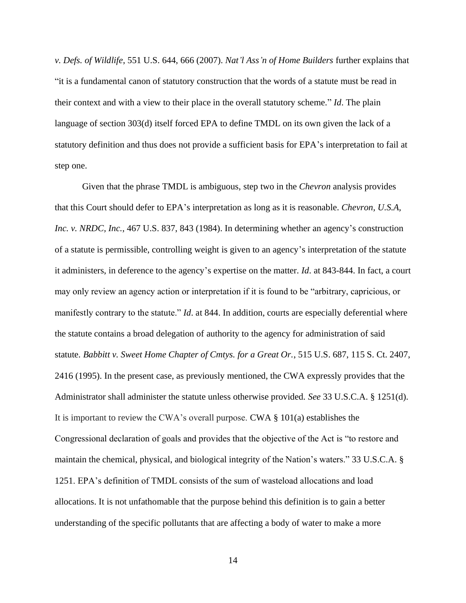*v. Defs. of Wildlife*, 551 U.S. 644, 666 (2007). *Nat'l Ass'n of Home Builders* further explains that "it is a fundamental canon of statutory construction that the words of a statute must be read in their context and with a view to their place in the overall statutory scheme." *Id*. The plain language of section 303(d) itself forced EPA to define TMDL on its own given the lack of a statutory definition and thus does not provide a sufficient basis for EPA's interpretation to fail at step one.

Given that the phrase TMDL is ambiguous, step two in the *Chevron* analysis provides that this Court should defer to EPA's interpretation as long as it is reasonable. *Chevron, U.S.A, Inc. v. NRDC, Inc.*, 467 U.S. 837, 843 (1984). In determining whether an agency's construction of a statute is permissible, controlling weight is given to an agency's interpretation of the statute it administers, in deference to the agency's expertise on the matter. *Id*. at 843-844. In fact, a court may only review an agency action or interpretation if it is found to be "arbitrary, capricious, or manifestly contrary to the statute." *Id*. at 844. In addition, courts are especially deferential where the statute contains a broad delegation of authority to the agency for administration of said statute. *Babbitt v. Sweet Home Chapter of Cmtys. for a Great Or.*, 515 U.S. 687, 115 S. Ct. 2407, 2416 (1995). In the present case, as previously mentioned, the CWA expressly provides that the Administrator shall administer the statute unless otherwise provided. *See* 33 U.S.C.A. § 1251(d). It is important to review the CWA's overall purpose. CWA § 101(a) establishes the Congressional declaration of goals and provides that the objective of the Act is "to restore and maintain the chemical, physical, and biological integrity of the Nation's waters." 33 U.S.C.A. § 1251. EPA's definition of TMDL consists of the sum of wasteload allocations and load allocations. It is not unfathomable that the purpose behind this definition is to gain a better understanding of the specific pollutants that are affecting a body of water to make a more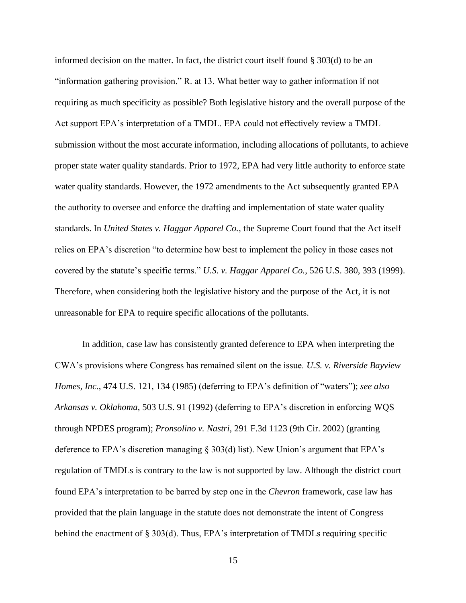informed decision on the matter. In fact, the district court itself found § 303(d) to be an "information gathering provision." R. at 13. What better way to gather information if not requiring as much specificity as possible? Both legislative history and the overall purpose of the Act support EPA's interpretation of a TMDL. EPA could not effectively review a TMDL submission without the most accurate information, including allocations of pollutants, to achieve proper state water quality standards. Prior to 1972, EPA had very little authority to enforce state water quality standards. However, the 1972 amendments to the Act subsequently granted EPA the authority to oversee and enforce the drafting and implementation of state water quality standards. In *United States v. Haggar Apparel Co.*, the Supreme Court found that the Act itself relies on EPA's discretion "to determine how best to implement the policy in those cases not covered by the statute's specific terms." *U.S. v. Haggar Apparel Co.*, 526 U.S. 380, 393 (1999). Therefore, when considering both the legislative history and the purpose of the Act, it is not unreasonable for EPA to require specific allocations of the pollutants.

In addition, case law has consistently granted deference to EPA when interpreting the CWA's provisions where Congress has remained silent on the issue. *U.S. v. Riverside Bayview Homes, Inc.*, 474 U.S. 121, 134 (1985) (deferring to EPA's definition of "waters"); *see also Arkansas v. Oklahoma*, 503 U.S. 91 (1992) (deferring to EPA's discretion in enforcing WQS through NPDES program); *Pronsolino v. Nastri*, 291 F.3d 1123 (9th Cir. 2002) (granting deference to EPA's discretion managing § 303(d) list). New Union's argument that EPA's regulation of TMDLs is contrary to the law is not supported by law. Although the district court found EPA's interpretation to be barred by step one in the *Chevron* framework, case law has provided that the plain language in the statute does not demonstrate the intent of Congress behind the enactment of § 303(d). Thus, EPA's interpretation of TMDLs requiring specific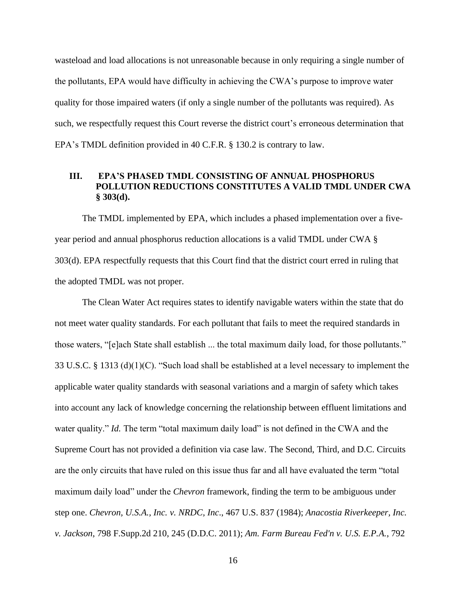wasteload and load allocations is not unreasonable because in only requiring a single number of the pollutants, EPA would have difficulty in achieving the CWA's purpose to improve water quality for those impaired waters (if only a single number of the pollutants was required). As such, we respectfully request this Court reverse the district court's erroneous determination that EPA's TMDL definition provided in 40 C.F.R. § 130.2 is contrary to law.

## **III. EPA'S PHASED TMDL CONSISTING OF ANNUAL PHOSPHORUS POLLUTION REDUCTIONS CONSTITUTES A VALID TMDL UNDER CWA § 303(d).**

The TMDL implemented by EPA, which includes a phased implementation over a fiveyear period and annual phosphorus reduction allocations is a valid TMDL under CWA § 303(d). EPA respectfully requests that this Court find that the district court erred in ruling that the adopted TMDL was not proper.

The Clean Water Act requires states to identify navigable waters within the state that do not meet water quality standards. For each pollutant that fails to meet the required standards in those waters, "[e]ach State shall establish ... the total maximum daily load, for those pollutants." 33 U.S.C. § 1313 (d)(1)(C). "Such load shall be established at a level necessary to implement the applicable water quality standards with seasonal variations and a margin of safety which takes into account any lack of knowledge concerning the relationship between effluent limitations and water quality." *Id.* The term "total maximum daily load" is not defined in the CWA and the Supreme Court has not provided a definition via case law. The Second, Third, and D.C. Circuits are the only circuits that have ruled on this issue thus far and all have evaluated the term "total maximum daily load" under the *Chevron* framework, finding the term to be ambiguous under step one. *Chevron, U.S.A., Inc. v. NRDC, Inc*., 467 U.S. 837 (1984); *Anacostia Riverkeeper, Inc. v. Jackson*, 798 F.Supp.2d 210, 245 (D.D.C. 2011); *Am. Farm Bureau Fed'n v. U.S. E.P.A.*, 792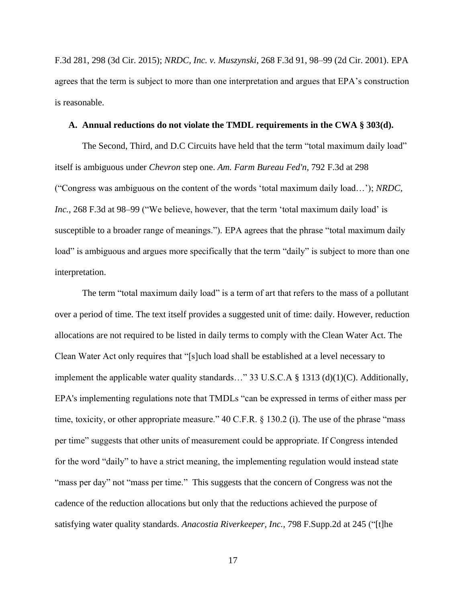F.3d 281, 298 (3d Cir. 2015); *NRDC, Inc. v. Muszynski*, 268 F.3d 91, 98–99 (2d Cir. 2001). EPA agrees that the term is subject to more than one interpretation and argues that EPA's construction is reasonable.

#### **A. Annual reductions do not violate the TMDL requirements in the CWA § 303(d).**

The Second, Third, and D.C Circuits have held that the term "total maximum daily load" itself is ambiguous under *Chevron* step one. *Am. Farm Bureau Fed'n*, 792 F.3d at 298 ("Congress was ambiguous on the content of the words 'total maximum daily load…'); *NRDC, Inc.*, 268 F.3d at 98–99 ("We believe, however, that the term 'total maximum daily load' is susceptible to a broader range of meanings."). EPA agrees that the phrase "total maximum daily load" is ambiguous and argues more specifically that the term "daily" is subject to more than one interpretation.

The term "total maximum daily load" is a term of art that refers to the mass of a pollutant over a period of time. The text itself provides a suggested unit of time: daily. However, reduction allocations are not required to be listed in daily terms to comply with the Clean Water Act. The Clean Water Act only requires that "[s]uch load shall be established at a level necessary to implement the applicable water quality standards…" 33 U.S.C.A § 1313 (d)(1)(C). Additionally, EPA's implementing regulations note that TMDLs "can be expressed in terms of either mass per time, toxicity, or other appropriate measure." 40 C.F.R. § 130.2 (i). The use of the phrase "mass per time" suggests that other units of measurement could be appropriate. If Congress intended for the word "daily" to have a strict meaning, the implementing regulation would instead state "mass per day" not "mass per time." This suggests that the concern of Congress was not the cadence of the reduction allocations but only that the reductions achieved the purpose of satisfying water quality standards. *Anacostia Riverkeeper, Inc.,* 798 F.Supp.2d at 245 ("[t]he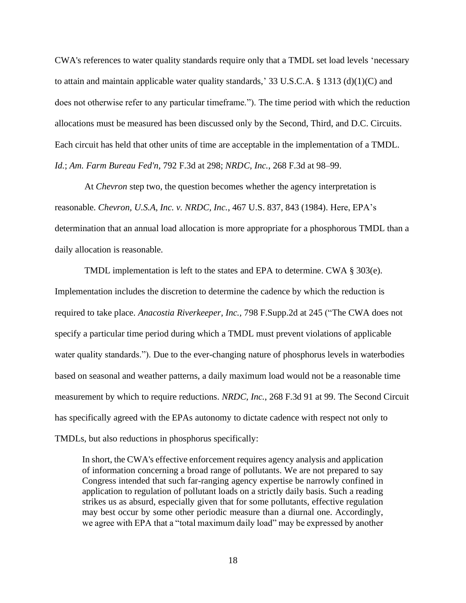CWA's references to water quality standards require only that a TMDL set load levels 'necessary to attain and maintain applicable water quality standards,' 33 U.S.C.A.  $\S$  1313 (d)(1)(C) and does not otherwise refer to any particular timeframe."). The time period with which the reduction allocations must be measured has been discussed only by the Second, Third, and D.C. Circuits. Each circuit has held that other units of time are acceptable in the implementation of a TMDL. *Id.*; *Am. Farm Bureau Fed'n*, 792 F.3d at 298; *NRDC, Inc.*, 268 F.3d at 98–99.

At *Chevron* step two, the question becomes whether the agency interpretation is reasonable. *Chevron, U.S.A, Inc. v. NRDC, Inc.*, 467 U.S. 837, 843 (1984). Here, EPA's determination that an annual load allocation is more appropriate for a phosphorous TMDL than a daily allocation is reasonable.

TMDL implementation is left to the states and EPA to determine. CWA § 303(e). Implementation includes the discretion to determine the cadence by which the reduction is required to take place. *Anacostia Riverkeeper, Inc.,* 798 F.Supp.2d at 245 ("The CWA does not specify a particular time period during which a TMDL must prevent violations of applicable water quality standards."). Due to the ever-changing nature of phosphorus levels in waterbodies based on seasonal and weather patterns, a daily maximum load would not be a reasonable time measurement by which to require reductions. *NRDC, Inc.*, 268 F.3d 91 at 99. The Second Circuit has specifically agreed with the EPAs autonomy to dictate cadence with respect not only to TMDLs, but also reductions in phosphorus specifically:

In short, the CWA's effective enforcement requires agency analysis and application of information concerning a broad range of pollutants. We are not prepared to say Congress intended that such far-ranging agency expertise be narrowly confined in application to regulation of pollutant loads on a strictly daily basis. Such a reading strikes us as absurd, especially given that for some pollutants, effective regulation may best occur by some other periodic measure than a diurnal one. Accordingly, we agree with EPA that a "total maximum daily load" may be expressed by another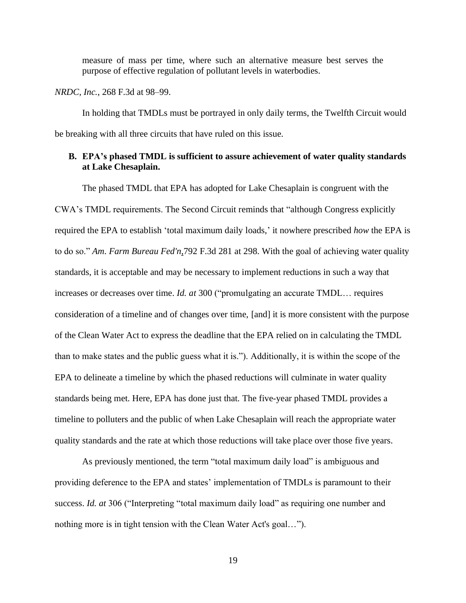measure of mass per time, where such an alternative measure best serves the purpose of effective regulation of pollutant levels in waterbodies.

*NRDC, Inc.*, 268 F.3d at 98–99.

In holding that TMDLs must be portrayed in only daily terms, the Twelfth Circuit would be breaking with all three circuits that have ruled on this issue.

### **B. EPA's phased TMDL is sufficient to assure achievement of water quality standards at Lake Chesaplain.**

The phased TMDL that EPA has adopted for Lake Chesaplain is congruent with the CWA's TMDL requirements. The Second Circuit reminds that "although Congress explicitly required the EPA to establish 'total maximum daily loads,' it nowhere prescribed *how* the EPA is to do so." *Am. Farm Bureau Fed'n*,792 F.3d 281 at 298. With the goal of achieving water quality standards, it is acceptable and may be necessary to implement reductions in such a way that increases or decreases over time. *Id. at* 300 ("promulgating an accurate TMDL… requires consideration of a timeline and of changes over time, [and] it is more consistent with the purpose of the Clean Water Act to express the deadline that the EPA relied on in calculating the TMDL than to make states and the public guess what it is."). Additionally, it is within the scope of the EPA to delineate a timeline by which the phased reductions will culminate in water quality standards being met. Here, EPA has done just that. The five-year phased TMDL provides a timeline to polluters and the public of when Lake Chesaplain will reach the appropriate water quality standards and the rate at which those reductions will take place over those five years.

As previously mentioned, the term "total maximum daily load" is ambiguous and providing deference to the EPA and states' implementation of TMDLs is paramount to their success. *Id. at* 306 ("Interpreting "total maximum daily load" as requiring one number and nothing more is in tight tension with the Clean Water Act's goal…").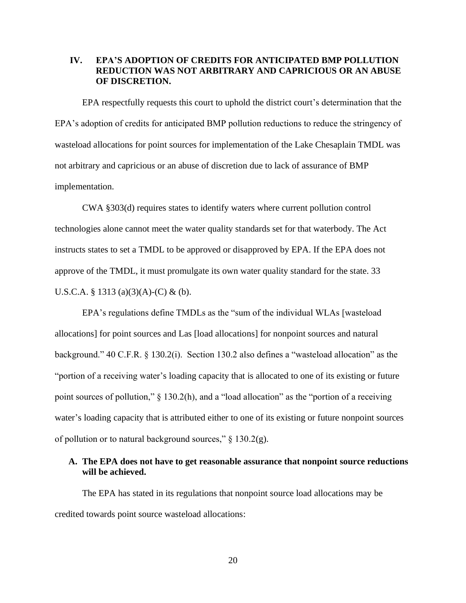### **IV. EPA'S ADOPTION OF CREDITS FOR ANTICIPATED BMP POLLUTION REDUCTION WAS NOT ARBITRARY AND CAPRICIOUS OR AN ABUSE OF DISCRETION.**

EPA respectfully requests this court to uphold the district court's determination that the EPA's adoption of credits for anticipated BMP pollution reductions to reduce the stringency of wasteload allocations for point sources for implementation of the Lake Chesaplain TMDL was not arbitrary and capricious or an abuse of discretion due to lack of assurance of BMP implementation.

CWA §303(d) requires states to identify waters where current pollution control technologies alone cannot meet the water quality standards set for that waterbody. The Act instructs states to set a TMDL to be approved or disapproved by EPA. If the EPA does not approve of the TMDL, it must promulgate its own water quality standard for the state. 33 U.S.C.A. § 1313 (a)(3)(A)-(C) & (b).

EPA's regulations define TMDLs as the "sum of the individual WLAs [wasteload allocations] for point sources and Las [load allocations] for nonpoint sources and natural background." 40 C.F.R. § 130.2(i). Section 130.2 also defines a "wasteload allocation" as the "portion of a receiving water's loading capacity that is allocated to one of its existing or future point sources of pollution," § 130.2(h), and a "load allocation" as the "portion of a receiving water's loading capacity that is attributed either to one of its existing or future nonpoint sources of pollution or to natural background sources,"  $\S$  130.2(g).

## **A. The EPA does not have to get reasonable assurance that nonpoint source reductions will be achieved.**

The EPA has stated in its regulations that nonpoint source load allocations may be credited towards point source wasteload allocations: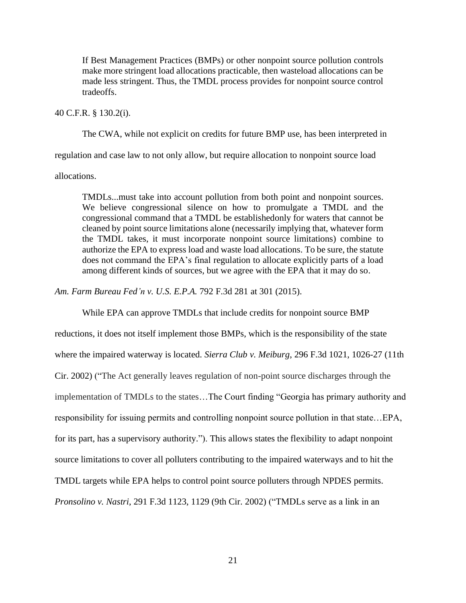If Best Management Practices (BMPs) or other nonpoint source pollution controls make more stringent load allocations practicable, then wasteload allocations can be made less stringent. Thus, the TMDL process provides for nonpoint source control tradeoffs.

40 C.F.R. § 130.2(i).

The CWA, while not explicit on credits for future BMP use, has been interpreted in

regulation and case law to not only allow, but require allocation to nonpoint source load

allocations.

TMDLs...must take into account pollution from both point and nonpoint sources. We believe congressional silence on how to promulgate a TMDL and the congressional command that a TMDL be establishedonly for waters that cannot be cleaned by point source limitations alone (necessarily implying that, whatever form the TMDL takes, it must incorporate nonpoint source limitations) combine to authorize the EPA to express load and waste load allocations. To be sure, the statute does not command the EPA's final regulation to allocate explicitly parts of a load among different kinds of sources, but we agree with the EPA that it may do so.

*Am. Farm Bureau Fed'n v. U.S. E.P.A.* 792 F.3d 281 at 301 (2015).

While EPA can approve TMDLs that include credits for nonpoint source BMP

reductions, it does not itself implement those BMPs, which is the responsibility of the state where the impaired waterway is located. *Sierra Club v. Meiburg*, 296 F.3d 1021, 1026-27 (11th Cir. 2002) ("The Act generally leaves regulation of non-point source discharges through the implementation of TMDLs to the states…The Court finding "Georgia has primary authority and responsibility for issuing permits and controlling nonpoint source pollution in that state…EPA, for its part, has a supervisory authority."). This allows states the flexibility to adapt nonpoint source limitations to cover all polluters contributing to the impaired waterways and to hit the TMDL targets while EPA helps to control point source polluters through NPDES permits. *Pronsolino v. Nastri*, 291 F.3d 1123, 1129 (9th Cir. 2002) ("TMDLs serve as a link in an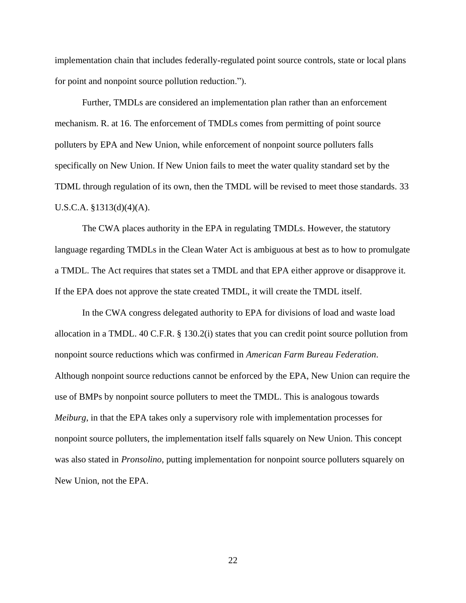implementation chain that includes federally-regulated point source controls, state or local plans for point and nonpoint source pollution reduction.").

Further, TMDLs are considered an implementation plan rather than an enforcement mechanism. R. at 16. The enforcement of TMDLs comes from permitting of point source polluters by EPA and New Union, while enforcement of nonpoint source polluters falls specifically on New Union. If New Union fails to meet the water quality standard set by the TDML through regulation of its own, then the TMDL will be revised to meet those standards. 33 U.S.C.A. §1313(d)(4)(A).

The CWA places authority in the EPA in regulating TMDLs. However, the statutory language regarding TMDLs in the Clean Water Act is ambiguous at best as to how to promulgate a TMDL. The Act requires that states set a TMDL and that EPA either approve or disapprove it. If the EPA does not approve the state created TMDL, it will create the TMDL itself.

In the CWA congress delegated authority to EPA for divisions of load and waste load allocation in a TMDL. 40 C.F.R. § 130.2(i) states that you can credit point source pollution from nonpoint source reductions which was confirmed in *American Farm Bureau Federation*. Although nonpoint source reductions cannot be enforced by the EPA, New Union can require the use of BMPs by nonpoint source polluters to meet the TMDL. This is analogous towards *Meiburg*, in that the EPA takes only a supervisory role with implementation processes for nonpoint source polluters, the implementation itself falls squarely on New Union. This concept was also stated in *Pronsolino*, putting implementation for nonpoint source polluters squarely on New Union, not the EPA.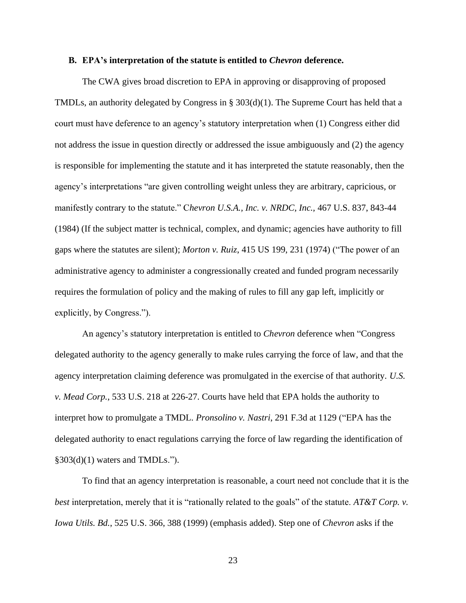#### **B. EPA's interpretation of the statute is entitled to** *Chevron* **deference.**

The CWA gives broad discretion to EPA in approving or disapproving of proposed TMDLs, an authority delegated by Congress in § 303(d)(1). The Supreme Court has held that a court must have deference to an agency's statutory interpretation when (1) Congress either did not address the issue in question directly or addressed the issue ambiguously and (2) the agency is responsible for implementing the statute and it has interpreted the statute reasonably, then the agency's interpretations "are given controlling weight unless they are arbitrary, capricious, or manifestly contrary to the statute." C*hevron U.S.A., Inc. v. NRDC, Inc.,* 467 U.S. 837, 843-44 (1984) (If the subject matter is technical, complex, and dynamic; agencies have authority to fill gaps where the statutes are silent); *Morton v. Ruiz*, 415 US 199, 231 (1974) ("The power of an administrative agency to administer a congressionally created and funded program necessarily requires the formulation of policy and the making of rules to fill any gap left, implicitly or explicitly, by Congress.").

An agency's statutory interpretation is entitled to *Chevron* deference when "Congress delegated authority to the agency generally to make rules carrying the force of law, and that the agency interpretation claiming deference was promulgated in the exercise of that authority. *U.S. v. Mead Corp.*, 533 U.S. 218 at 226-27. Courts have held that EPA holds the authority to interpret how to promulgate a TMDL. *Pronsolino v. Nastri*, 291 F.3d at 1129 ("EPA has the delegated authority to enact regulations carrying the force of law regarding the identification of  $§303(d)(1)$  waters and TMDLs.").

To find that an agency interpretation is reasonable, a court need not conclude that it is the *best* interpretation, merely that it is "rationally related to the goals" of the statute. *AT&T Corp. v. Iowa Utils. Bd.*, 525 U.S. 366, 388 (1999) (emphasis added). Step one of *Chevron* asks if the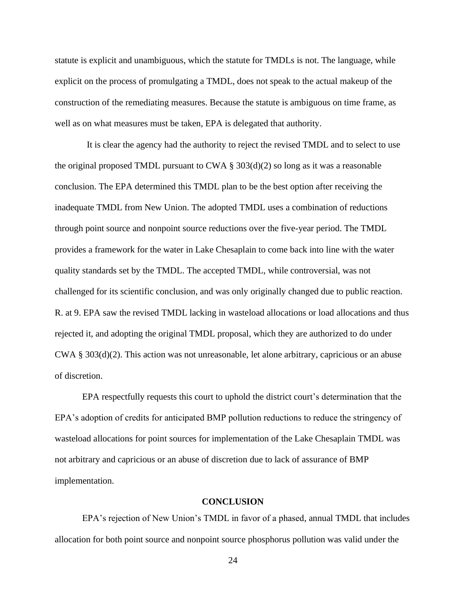statute is explicit and unambiguous, which the statute for TMDLs is not. The language, while explicit on the process of promulgating a TMDL, does not speak to the actual makeup of the construction of the remediating measures. Because the statute is ambiguous on time frame, as well as on what measures must be taken, EPA is delegated that authority.

 It is clear the agency had the authority to reject the revised TMDL and to select to use the original proposed TMDL pursuant to CWA  $\S 303(d)(2)$  so long as it was a reasonable conclusion. The EPA determined this TMDL plan to be the best option after receiving the inadequate TMDL from New Union. The adopted TMDL uses a combination of reductions through point source and nonpoint source reductions over the five-year period. The TMDL provides a framework for the water in Lake Chesaplain to come back into line with the water quality standards set by the TMDL. The accepted TMDL, while controversial, was not challenged for its scientific conclusion, and was only originally changed due to public reaction. R. at 9. EPA saw the revised TMDL lacking in wasteload allocations or load allocations and thus rejected it, and adopting the original TMDL proposal, which they are authorized to do under CWA § 303(d)(2). This action was not unreasonable, let alone arbitrary, capricious or an abuse of discretion.

EPA respectfully requests this court to uphold the district court's determination that the EPA's adoption of credits for anticipated BMP pollution reductions to reduce the stringency of wasteload allocations for point sources for implementation of the Lake Chesaplain TMDL was not arbitrary and capricious or an abuse of discretion due to lack of assurance of BMP implementation.

#### **CONCLUSION**

EPA's rejection of New Union's TMDL in favor of a phased, annual TMDL that includes allocation for both point source and nonpoint source phosphorus pollution was valid under the